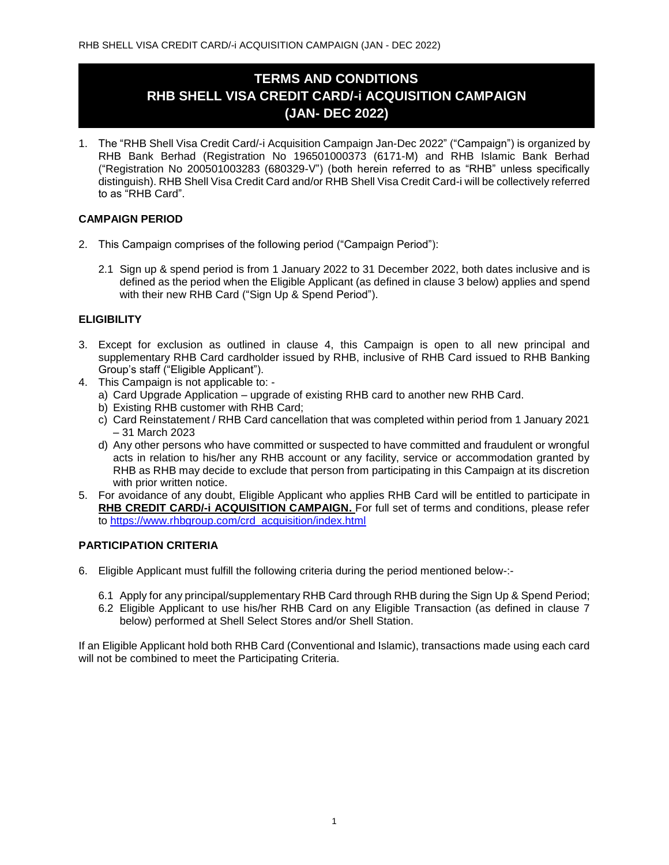# **TERMS AND CONDITIONS RHB SHELL VISA CREDIT CARD/-i ACQUISITION CAMPAIGN (JAN- DEC 2022)**

1. The "RHB Shell Visa Credit Card/-i Acquisition Campaign Jan-Dec 2022" ("Campaign") is organized by RHB Bank Berhad (Registration No 196501000373 (6171-M) and RHB Islamic Bank Berhad ("Registration No 200501003283 (680329-V") (both herein referred to as "RHB" unless specifically distinguish). RHB Shell Visa Credit Card and/or RHB Shell Visa Credit Card-i will be collectively referred to as "RHB Card".

## **CAMPAIGN PERIOD**

- 2. This Campaign comprises of the following period ("Campaign Period"):
	- 2.1 Sign up & spend period is from 1 January 2022 to 31 December 2022, both dates inclusive and is defined as the period when the Eligible Applicant (as defined in clause 3 below) applies and spend with their new RHB Card ("Sign Up & Spend Period").

### **ELIGIBILITY**

- 3. Except for exclusion as outlined in clause 4, this Campaign is open to all new principal and supplementary RHB Card cardholder issued by RHB, inclusive of RHB Card issued to RHB Banking Group's staff ("Eligible Applicant").
- 4. This Campaign is not applicable to:
	- a) Card Upgrade Application upgrade of existing RHB card to another new RHB Card.
	- b) Existing RHB customer with RHB Card;
	- c) Card Reinstatement / RHB Card cancellation that was completed within period from 1 January 2021 – 31 March 2023
	- d) Any other persons who have committed or suspected to have committed and fraudulent or wrongful acts in relation to his/her any RHB account or any facility, service or accommodation granted by RHB as RHB may decide to exclude that person from participating in this Campaign at its discretion with prior written notice.
- 5. For avoidance of any doubt, Eligible Applicant who applies RHB Card will be entitled to participate in **RHB CREDIT CARD/-i ACQUISITION CAMPAIGN.** For full set of terms and conditions, please refer to [https://www.rhbgroup.com/crd\\_acquisition/index.html](https://www.rhbgroup.com/crd_acquisition/index.html)

## **PARTICIPATION CRITERIA**

- 6. Eligible Applicant must fulfill the following criteria during the period mentioned below-:-
	- 6.1 Apply for any principal/supplementary RHB Card through RHB during the Sign Up & Spend Period;
	- 6.2 Eligible Applicant to use his/her RHB Card on any Eligible Transaction (as defined in clause 7 below) performed at Shell Select Stores and/or Shell Station.

If an Eligible Applicant hold both RHB Card (Conventional and Islamic), transactions made using each card will not be combined to meet the Participating Criteria.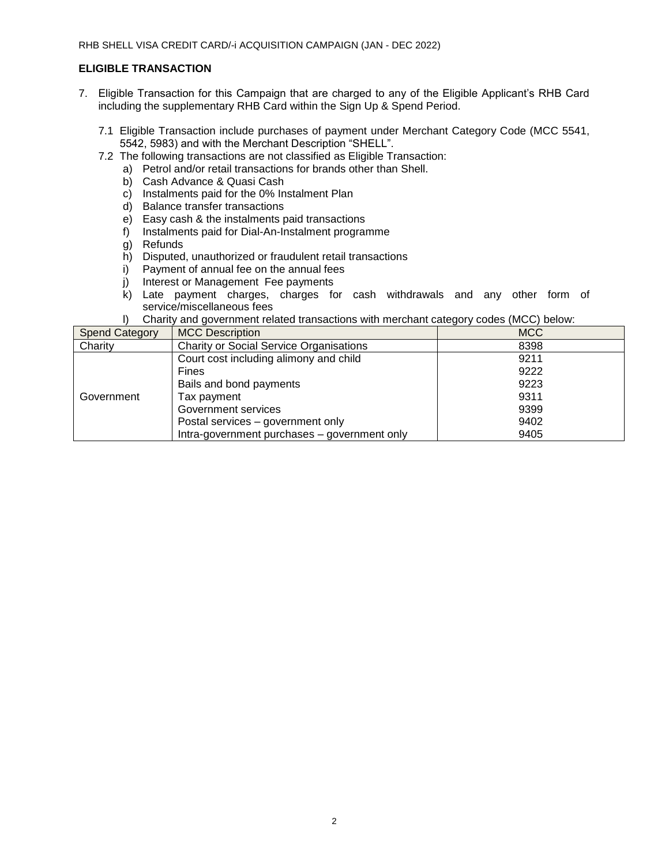## **ELIGIBLE TRANSACTION**

- 7. Eligible Transaction for this Campaign that are charged to any of the Eligible Applicant's RHB Card including the supplementary RHB Card within the Sign Up & Spend Period.
	- 7.1 Eligible Transaction include purchases of payment under Merchant Category Code (MCC 5541, 5542, 5983) and with the Merchant Description "SHELL".
	- 7.2 The following transactions are not classified as Eligible Transaction:
		- a) Petrol and/or retail transactions for brands other than Shell.
			- b) Cash Advance & Quasi Cash
			- c) Instalments paid for the 0% Instalment Plan
			- d) Balance transfer transactions
			- e) Easy cash & the instalments paid transactions
			- f) Instalments paid for Dial-An-Instalment programme
			- g) Refunds
			- h) Disputed, unauthorized or fraudulent retail transactions
			- i) Payment of annual fee on the annual fees
			- j) Interest or Management Fee payments
		- k) Late payment charges, charges for cash withdrawals and any other form of service/miscellaneous fees
		- l) Charity and government related transactions with merchant category codes (MCC) below:

| <b>Spend Category</b> | <b>MCC Description</b>                         | <b>MCC</b> |
|-----------------------|------------------------------------------------|------------|
| Charity               | <b>Charity or Social Service Organisations</b> | 8398       |
| Government            | Court cost including alimony and child         | 9211       |
|                       | <b>Fines</b>                                   | 9222       |
|                       | Bails and bond payments                        | 9223       |
|                       | Tax payment                                    | 9311       |
|                       | Government services                            | 9399       |
|                       | Postal services – government only              | 9402       |
|                       | Intra-government purchases - government only   | 9405       |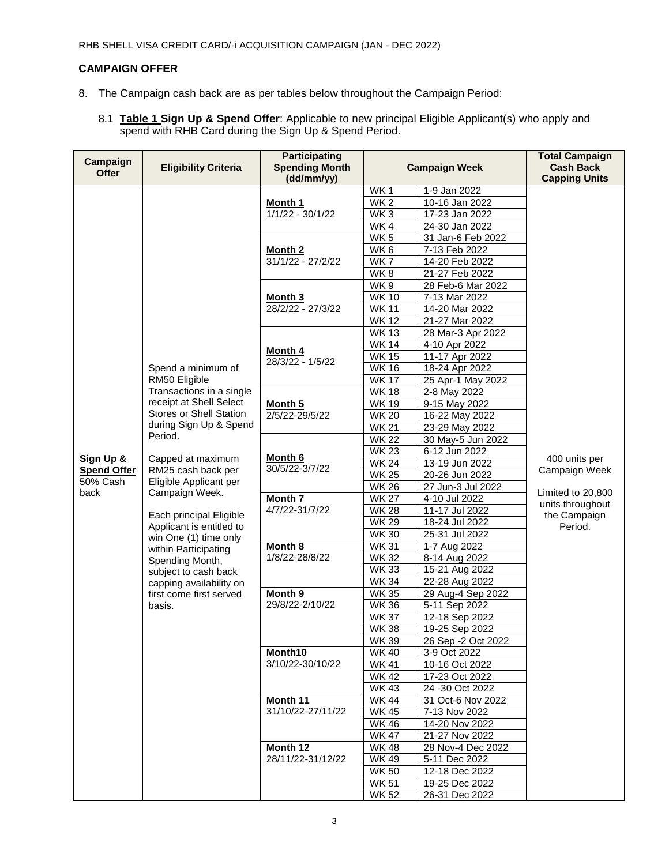## **CAMPAIGN OFFER**

- 8. The Campaign cash back are as per tables below throughout the Campaign Period:
	- 8.1 **Table 1 Sign Up & Spend Offer**: Applicable to new principal Eligible Applicant(s) who apply and spend with RHB Card during the Sign Up & Spend Period.

|                          |                                          | <b>Participating</b>                |                      |                    | <b>Total Campaign</b>                                                                              |
|--------------------------|------------------------------------------|-------------------------------------|----------------------|--------------------|----------------------------------------------------------------------------------------------------|
| Campaign<br><b>Offer</b> | <b>Eligibility Criteria</b>              | <b>Spending Month</b><br>(dd/mm/yy) | <b>Campaign Week</b> |                    | <b>Cash Back</b><br><b>Capping Units</b>                                                           |
|                          |                                          |                                     | WK1                  | 1-9 Jan 2022       |                                                                                                    |
|                          |                                          | Month 1                             | WK <sub>2</sub>      | 10-16 Jan 2022     |                                                                                                    |
|                          |                                          | 1/1/22 - 30/1/22                    | WK <sub>3</sub>      | 17-23 Jan 2022     |                                                                                                    |
|                          |                                          |                                     | WK4                  | 24-30 Jan 2022     |                                                                                                    |
|                          |                                          | <b>Month 2</b><br>31/1/22 - 27/2/22 | WK <sub>5</sub>      | 31 Jan-6 Feb 2022  |                                                                                                    |
|                          |                                          |                                     | WK6                  | 7-13 Feb 2022      |                                                                                                    |
|                          |                                          |                                     | WK <sub>7</sub>      | 14-20 Feb 2022     |                                                                                                    |
|                          |                                          |                                     | WK8                  | 21-27 Feb 2022     |                                                                                                    |
|                          |                                          | <b>Month 3</b><br>28/2/22 - 27/3/22 | WK9                  | 28 Feb-6 Mar 2022  |                                                                                                    |
|                          |                                          |                                     | <b>WK10</b>          | 7-13 Mar 2022      |                                                                                                    |
|                          |                                          |                                     | <b>WK11</b>          | 14-20 Mar 2022     |                                                                                                    |
|                          |                                          |                                     | <b>WK12</b>          | 21-27 Mar 2022     |                                                                                                    |
|                          |                                          | <b>Month 4</b><br>28/3/22 - 1/5/22  | <b>WK13</b>          | 28 Mar-3 Apr 2022  |                                                                                                    |
|                          |                                          |                                     | <b>WK14</b>          | 4-10 Apr 2022      |                                                                                                    |
|                          |                                          |                                     | <b>WK15</b>          | 11-17 Apr 2022     |                                                                                                    |
|                          | Spend a minimum of                       |                                     | <b>WK16</b>          | 18-24 Apr 2022     |                                                                                                    |
|                          | RM50 Eligible                            |                                     | <b>WK17</b>          | 25 Apr-1 May 2022  |                                                                                                    |
|                          | Transactions in a single                 |                                     | <b>WK18</b>          | 2-8 May 2022       |                                                                                                    |
|                          | receipt at Shell Select                  | Month 5                             | <b>WK19</b>          | 9-15 May 2022      |                                                                                                    |
|                          | <b>Stores or Shell Station</b>           | 2/5/22-29/5/22                      | <b>WK 20</b>         | 16-22 May 2022     |                                                                                                    |
|                          | during Sign Up & Spend                   |                                     | <b>WK21</b>          | 23-29 May 2022     |                                                                                                    |
|                          | Period.                                  |                                     | <b>WK22</b>          | 30 May-5 Jun 2022  |                                                                                                    |
|                          |                                          | Month 6<br>30/5/22-3/7/22           | <b>WK23</b>          | 6-12 Jun 2022      |                                                                                                    |
| Sign Up &                | Capped at maximum                        |                                     | <b>WK24</b>          | 13-19 Jun 2022     | 400 units per<br>Campaign Week<br>Limited to 20,800<br>units throughout<br>the Campaign<br>Period. |
| <b>Spend Offer</b>       | RM25 cash back per                       |                                     | <b>WK 25</b>         | 20-26 Jun 2022     |                                                                                                    |
| 50% Cash<br>back         | Eligible Applicant per<br>Campaign Week. |                                     | <b>WK26</b>          | 27 Jun-3 Jul 2022  |                                                                                                    |
|                          |                                          | Month 7                             | <b>WK 27</b>         | 4-10 Jul 2022      |                                                                                                    |
|                          | Each principal Eligible                  | 4/7/22-31/7/22                      | <b>WK28</b>          | 11-17 Jul 2022     |                                                                                                    |
|                          | Applicant is entitled to                 |                                     | <b>WK 29</b>         | 18-24 Jul 2022     |                                                                                                    |
|                          | win One (1) time only                    |                                     | <b>WK30</b>          | 25-31 Jul 2022     |                                                                                                    |
|                          | within Participating                     | Month 8                             | <b>WK31</b>          | 1-7 Aug 2022       |                                                                                                    |
|                          | Spending Month,                          | 1/8/22-28/8/22                      | <b>WK32</b>          | 8-14 Aug 2022      |                                                                                                    |
|                          | subject to cash back                     |                                     | <b>WK33</b>          | 15-21 Aug 2022     |                                                                                                    |
|                          | capping availability on                  |                                     | <b>WK34</b>          | 22-28 Aug 2022     |                                                                                                    |
|                          | first come first served                  | Month 9<br>29/8/22-2/10/22          | <b>WK35</b>          | 29 Aug-4 Sep 2022  |                                                                                                    |
|                          | basis.                                   |                                     | <b>WK36</b>          | 5-11 Sep 2022      |                                                                                                    |
|                          |                                          |                                     | <b>WK37</b>          | 12-18 Sep 2022     |                                                                                                    |
|                          |                                          |                                     | <b>WK38</b>          | 19-25 Sep 2022     |                                                                                                    |
|                          |                                          |                                     | <b>WK39</b>          | 26 Sep -2 Oct 2022 |                                                                                                    |
|                          |                                          | Month10                             | <b>WK40</b>          | 3-9 Oct 2022       |                                                                                                    |
|                          |                                          | 3/10/22-30/10/22                    | <b>WK41</b>          | 10-16 Oct 2022     |                                                                                                    |
|                          |                                          |                                     | <b>WK42</b>          | 17-23 Oct 2022     |                                                                                                    |
|                          |                                          |                                     | <b>WK43</b>          | 24 -30 Oct 2022    |                                                                                                    |
|                          |                                          | Month 11                            | <b>WK44</b>          | 31 Oct-6 Nov 2022  |                                                                                                    |
|                          |                                          | 31/10/22-27/11/22                   | <b>WK45</b>          | 7-13 Nov 2022      |                                                                                                    |
|                          |                                          |                                     | WK 46                | 14-20 Nov 2022     |                                                                                                    |
|                          |                                          |                                     | <b>WK47</b>          | 21-27 Nov 2022     |                                                                                                    |
|                          |                                          | Month 12                            | <b>WK48</b>          | 28 Nov-4 Dec 2022  |                                                                                                    |
|                          |                                          | 28/11/22-31/12/22                   | <b>WK49</b>          | 5-11 Dec 2022      |                                                                                                    |
|                          |                                          |                                     | <b>WK50</b>          | 12-18 Dec 2022     |                                                                                                    |
|                          |                                          |                                     | <b>WK51</b>          | 19-25 Dec 2022     |                                                                                                    |
|                          |                                          |                                     | <b>WK 52</b>         | 26-31 Dec 2022     |                                                                                                    |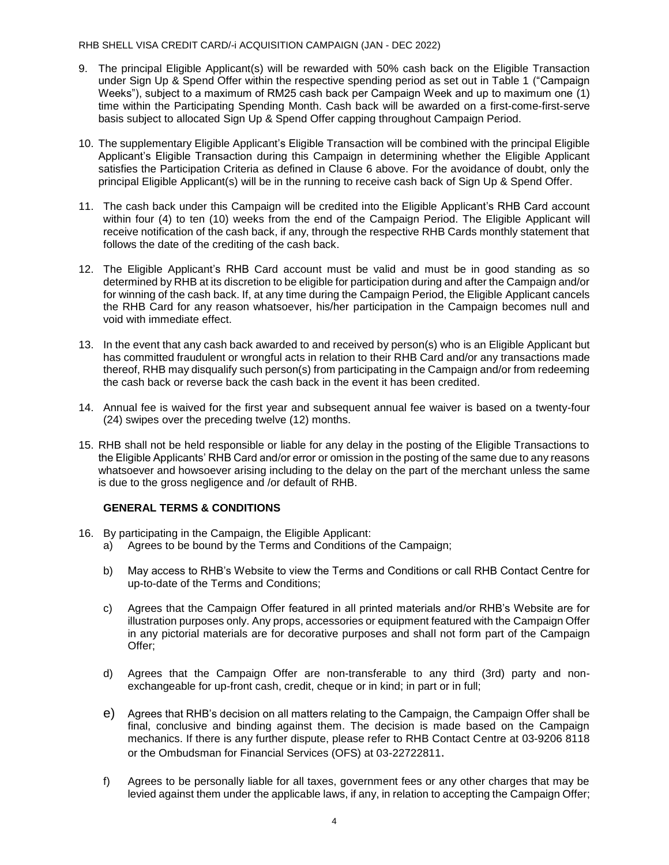#### RHB SHELL VISA CREDIT CARD/-i ACQUISITION CAMPAIGN (JAN - DEC 2022)

- 9. The principal Eligible Applicant(s) will be rewarded with 50% cash back on the Eligible Transaction under Sign Up & Spend Offer within the respective spending period as set out in Table 1 ("Campaign Weeks"), subject to a maximum of RM25 cash back per Campaign Week and up to maximum one (1) time within the Participating Spending Month. Cash back will be awarded on a first-come-first-serve basis subject to allocated Sign Up & Spend Offer capping throughout Campaign Period.
- 10. The supplementary Eligible Applicant's Eligible Transaction will be combined with the principal Eligible Applicant's Eligible Transaction during this Campaign in determining whether the Eligible Applicant satisfies the Participation Criteria as defined in Clause 6 above. For the avoidance of doubt, only the principal Eligible Applicant(s) will be in the running to receive cash back of Sign Up & Spend Offer.
- 11. The cash back under this Campaign will be credited into the Eligible Applicant's RHB Card account within four (4) to ten (10) weeks from the end of the Campaign Period. The Eligible Applicant will receive notification of the cash back, if any, through the respective RHB Cards monthly statement that follows the date of the crediting of the cash back.
- 12. The Eligible Applicant's RHB Card account must be valid and must be in good standing as so determined by RHB at its discretion to be eligible for participation during and after the Campaign and/or for winning of the cash back. If, at any time during the Campaign Period, the Eligible Applicant cancels the RHB Card for any reason whatsoever, his/her participation in the Campaign becomes null and void with immediate effect.
- 13. In the event that any cash back awarded to and received by person(s) who is an Eligible Applicant but has committed fraudulent or wrongful acts in relation to their RHB Card and/or any transactions made thereof, RHB may disqualify such person(s) from participating in the Campaign and/or from redeeming the cash back or reverse back the cash back in the event it has been credited.
- 14. Annual fee is waived for the first year and subsequent annual fee waiver is based on a twenty-four (24) swipes over the preceding twelve (12) months.
- 15. RHB shall not be held responsible or liable for any delay in the posting of the Eligible Transactions to the Eligible Applicants' RHB Card and/or error or omission in the posting of the same due to any reasons whatsoever and howsoever arising including to the delay on the part of the merchant unless the same is due to the gross negligence and /or default of RHB.

## **GENERAL TERMS & CONDITIONS**

- 16. By participating in the Campaign, the Eligible Applicant:
	- a) Agrees to be bound by the Terms and Conditions of the Campaign;
	- b) May access to RHB's Website to view the Terms and Conditions or call RHB Contact Centre for up-to-date of the Terms and Conditions;
	- c) Agrees that the Campaign Offer featured in all printed materials and/or RHB's Website are for illustration purposes only. Any props, accessories or equipment featured with the Campaign Offer in any pictorial materials are for decorative purposes and shall not form part of the Campaign Offer;
	- d) Agrees that the Campaign Offer are non-transferable to any third (3rd) party and nonexchangeable for up-front cash, credit, cheque or in kind; in part or in full;
	- e) Agrees that RHB's decision on all matters relating to the Campaign, the Campaign Offer shall be final, conclusive and binding against them. The decision is made based on the Campaign mechanics. If there is any further dispute, please refer to RHB Contact Centre at 03-9206 8118 or the Ombudsman for Financial Services (OFS) at 03-22722811.
	- f) Agrees to be personally liable for all taxes, government fees or any other charges that may be levied against them under the applicable laws, if any, in relation to accepting the Campaign Offer;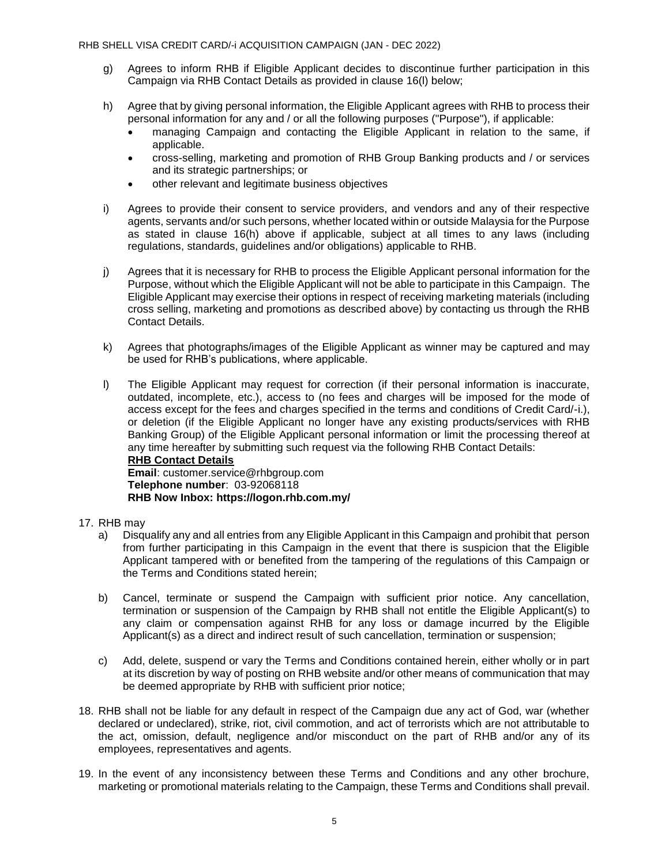- g) Agrees to inform RHB if Eligible Applicant decides to discontinue further participation in this Campaign via RHB Contact Details as provided in clause 16(l) below;
- h) Agree that by giving personal information, the Eligible Applicant agrees with RHB to process their personal information for any and / or all the following purposes ("Purpose"), if applicable:
	- managing Campaign and contacting the Eligible Applicant in relation to the same, if applicable.
	- cross-selling, marketing and promotion of RHB Group Banking products and / or services and its strategic partnerships; or
	- other relevant and legitimate business objectives
- i) Agrees to provide their consent to service providers, and vendors and any of their respective agents, servants and/or such persons, whether located within or outside Malaysia for the Purpose as stated in clause 16(h) above if applicable, subject at all times to any laws (including regulations, standards, guidelines and/or obligations) applicable to RHB.
- j) Agrees that it is necessary for RHB to process the Eligible Applicant personal information for the Purpose, without which the Eligible Applicant will not be able to participate in this Campaign. The Eligible Applicant may exercise their options in respect of receiving marketing materials (including cross selling, marketing and promotions as described above) by contacting us through the RHB Contact Details.
- k) Agrees that photographs/images of the Eligible Applicant as winner may be captured and may be used for RHB's publications, where applicable.
- l) The Eligible Applicant may request for correction (if their personal information is inaccurate, outdated, incomplete, etc.), access to (no fees and charges will be imposed for the mode of access except for the fees and charges specified in the terms and conditions of Credit Card/-i.), or deletion (if the Eligible Applicant no longer have any existing products/services with RHB Banking Group) of the Eligible Applicant personal information or limit the processing thereof at any time hereafter by submitting such request via the following RHB Contact Details: **RHB Contact Details Email**: customer.service@rhbgroup.com **Telephone number**: 03-92068118 **RHB Now Inbox:<https://logon.rhb.com.my/>**
- 17. RHB may
	- a) Disqualify any and all entries from any Eligible Applicant in this Campaign and prohibit that person from further participating in this Campaign in the event that there is suspicion that the Eligible Applicant tampered with or benefited from the tampering of the regulations of this Campaign or the Terms and Conditions stated herein;
	- b) Cancel, terminate or suspend the Campaign with sufficient prior notice. Any cancellation, termination or suspension of the Campaign by RHB shall not entitle the Eligible Applicant(s) to any claim or compensation against RHB for any loss or damage incurred by the Eligible Applicant(s) as a direct and indirect result of such cancellation, termination or suspension;
	- c) Add, delete, suspend or vary the Terms and Conditions contained herein, either wholly or in part at its discretion by way of posting on RHB website and/or other means of communication that may be deemed appropriate by RHB with sufficient prior notice;
- 18. RHB shall not be liable for any default in respect of the Campaign due any act of God, war (whether declared or undeclared), strike, riot, civil commotion, and act of terrorists which are not attributable to the act, omission, default, negligence and/or misconduct on the part of RHB and/or any of its employees, representatives and agents.
- 19. In the event of any inconsistency between these Terms and Conditions and any other brochure, marketing or promotional materials relating to the Campaign, these Terms and Conditions shall prevail.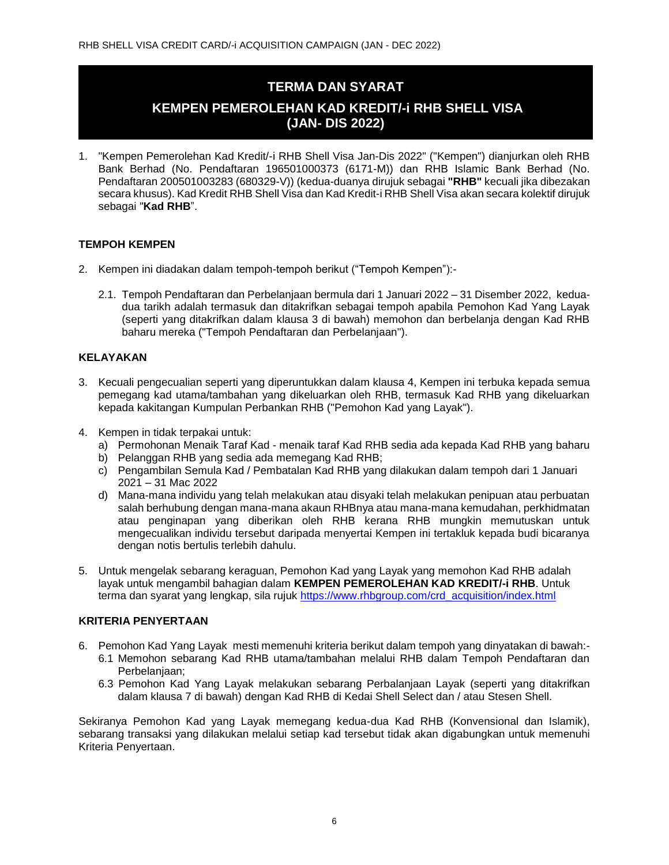# **TERMA DAN SYARAT**

# **KEMPEN PEMEROLEHAN KAD KREDIT/-i RHB SHELL VISA (JAN- DIS 2022)**

1. "Kempen Pemerolehan Kad Kredit/-i RHB Shell Visa Jan-Dis 2022" ("Kempen") dianjurkan oleh RHB Bank Berhad (No. Pendaftaran 196501000373 (6171-M)) dan RHB Islamic Bank Berhad (No. Pendaftaran 200501003283 (680329-V)) (kedua-duanya dirujuk sebagai **"RHB"** kecuali jika dibezakan secara khusus). Kad Kredit RHB Shell Visa dan Kad Kredit-i RHB Shell Visa akan secara kolektif dirujuk sebagai "**Kad RHB**".

## **TEMPOH KEMPEN**

- 2. Kempen ini diadakan dalam tempoh-tempoh berikut ("Tempoh Kempen"):-
	- 2.1. Tempoh Pendaftaran dan Perbelanjaan bermula dari 1 Januari 2022 31 Disember 2022, keduadua tarikh adalah termasuk dan ditakrifkan sebagai tempoh apabila Pemohon Kad Yang Layak (seperti yang ditakrifkan dalam klausa 3 di bawah) memohon dan berbelanja dengan Kad RHB baharu mereka ("Tempoh Pendaftaran dan Perbelanjaan").

### **KELAYAKAN**

- 3. Kecuali pengecualian seperti yang diperuntukkan dalam klausa 4, Kempen ini terbuka kepada semua pemegang kad utama/tambahan yang dikeluarkan oleh RHB, termasuk Kad RHB yang dikeluarkan kepada kakitangan Kumpulan Perbankan RHB ("Pemohon Kad yang Layak").
- 4. Kempen in tidak terpakai untuk:
	- a) Permohonan Menaik Taraf Kad menaik taraf Kad RHB sedia ada kepada Kad RHB yang baharu
	- b) Pelanggan RHB yang sedia ada memegang Kad RHB;
	- c) Pengambilan Semula Kad / Pembatalan Kad RHB yang dilakukan dalam tempoh dari 1 Januari 2021 – 31 Mac 2022
	- d) Mana-mana individu yang telah melakukan atau disyaki telah melakukan penipuan atau perbuatan salah berhubung dengan mana-mana akaun RHBnya atau mana-mana kemudahan, perkhidmatan atau penginapan yang diberikan oleh RHB kerana RHB mungkin memutuskan untuk mengecualikan individu tersebut daripada menyertai Kempen ini tertakluk kepada budi bicaranya dengan notis bertulis terlebih dahulu.
- 5. Untuk mengelak sebarang keraguan, Pemohon Kad yang Layak yang memohon Kad RHB adalah layak untuk mengambil bahagian dalam **KEMPEN PEMEROLEHAN KAD KREDIT/-i RHB**. Untuk terma dan syarat yang lengkap, sila rujuk [https://www.rhbgroup.com/crd\\_acquisition/index.html](https://www.rhbgroup.com/crd_acquisition/index.html)

### **KRITERIA PENYERTAAN**

- 6. Pemohon Kad Yang Layak mesti memenuhi kriteria berikut dalam tempoh yang dinyatakan di bawah:-
	- 6.1 Memohon sebarang Kad RHB utama/tambahan melalui RHB dalam Tempoh Pendaftaran dan Perbelaniaan:
	- 6.3 Pemohon Kad Yang Layak melakukan sebarang Perbalanjaan Layak (seperti yang ditakrifkan dalam klausa 7 di bawah) dengan Kad RHB di Kedai Shell Select dan / atau Stesen Shell.

Sekiranya Pemohon Kad yang Layak memegang kedua-dua Kad RHB (Konvensional dan Islamik), sebarang transaksi yang dilakukan melalui setiap kad tersebut tidak akan digabungkan untuk memenuhi Kriteria Penyertaan.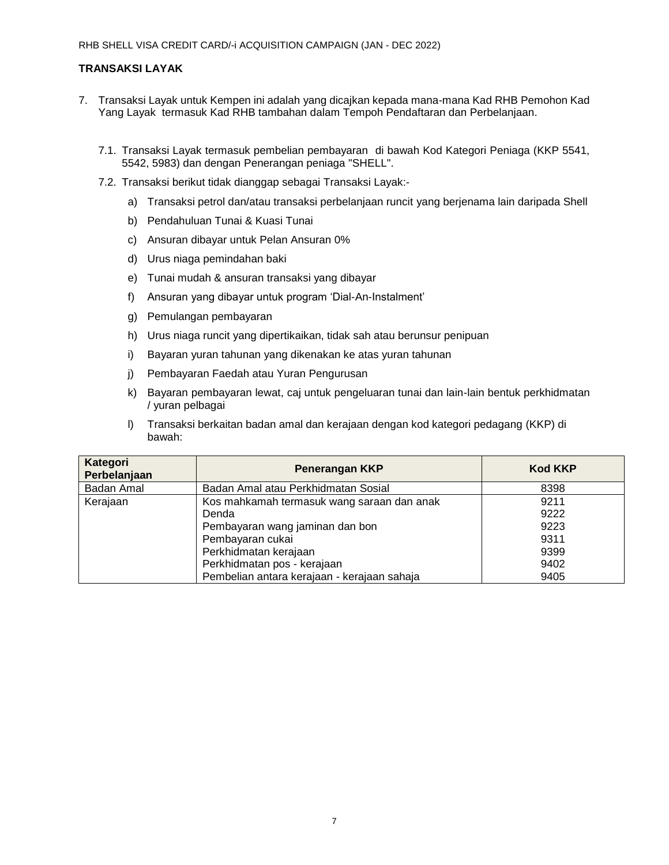## **TRANSAKSI LAYAK**

- 7. Transaksi Layak untuk Kempen ini adalah yang dicajkan kepada mana-mana Kad RHB Pemohon Kad Yang Layak termasuk Kad RHB tambahan dalam Tempoh Pendaftaran dan Perbelanjaan.
	- 7.1. Transaksi Layak termasuk pembelian pembayaran di bawah Kod Kategori Peniaga (KKP 5541, 5542, 5983) dan dengan Penerangan peniaga "SHELL".
	- 7.2. Transaksi berikut tidak dianggap sebagai Transaksi Layak:
		- a) Transaksi petrol dan/atau transaksi perbelanjaan runcit yang berjenama lain daripada Shell
		- b) Pendahuluan Tunai & Kuasi Tunai
		- c) Ansuran dibayar untuk Pelan Ansuran 0%
		- d) Urus niaga pemindahan baki
		- e) Tunai mudah & ansuran transaksi yang dibayar
		- f) Ansuran yang dibayar untuk program 'Dial-An-Instalment'
		- g) Pemulangan pembayaran
		- h) Urus niaga runcit yang dipertikaikan, tidak sah atau berunsur penipuan
		- i) Bayaran yuran tahunan yang dikenakan ke atas yuran tahunan
		- j) Pembayaran Faedah atau Yuran Pengurusan
		- k) Bayaran pembayaran lewat, caj untuk pengeluaran tunai dan lain-lain bentuk perkhidmatan / yuran pelbagai
		- l) Transaksi berkaitan badan amal dan kerajaan dengan kod kategori pedagang (KKP) di bawah:

| Kategori<br>Perbelanjaan | <b>Penerangan KKP</b>                       | <b>Kod KKP</b> |
|--------------------------|---------------------------------------------|----------------|
| Badan Amal               | Badan Amal atau Perkhidmatan Sosial         | 8398           |
| Kerajaan                 | Kos mahkamah termasuk wang saraan dan anak  | 9211           |
|                          | Denda                                       | 9222           |
|                          | Pembayaran wang jaminan dan bon             | 9223           |
|                          | Pembayaran cukai                            | 9311           |
|                          | Perkhidmatan kerajaan                       | 9399           |
|                          | Perkhidmatan pos - kerajaan                 | 9402           |
|                          | Pembelian antara kerajaan - kerajaan sahaja | 9405           |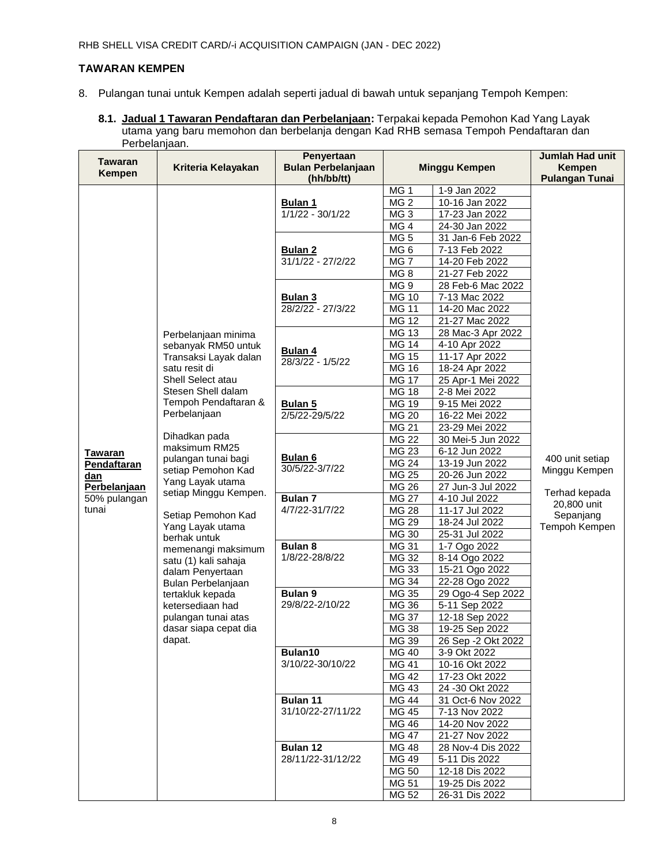## **TAWARAN KEMPEN**

- 8. Pulangan tunai untuk Kempen adalah seperti jadual di bawah untuk sepanjang Tempoh Kempen:
	- **8.1. Jadual 1 Tawaran Pendaftaran dan Perbelanjaan:** Terpakai kepada Pemohon Kad Yang Layak utama yang baru memohon dan berbelanja dengan Kad RHB semasa Tempoh Pendaftaran dan Perbelanjaan.

| Tawaran<br><b>Kempen</b>   | Kriteria Kelayakan                      | Penyertaan<br><b>Bulan Perbelanjaan</b><br>(hh/bb/tt) | <b>Minggu Kempen</b>  |                                     | Jumlah Had unit<br><b>Kempen</b><br><b>Pulangan Tunai</b>  |
|----------------------------|-----------------------------------------|-------------------------------------------------------|-----------------------|-------------------------------------|------------------------------------------------------------|
|                            |                                         |                                                       | MG <sub>1</sub>       | 1-9 Jan 2022                        |                                                            |
|                            |                                         | <b>Bulan 1</b>                                        | MG <sub>2</sub>       | 10-16 Jan 2022                      |                                                            |
|                            |                                         | $1/1/22 - 30/1/22$                                    | MG <sub>3</sub>       | 17-23 Jan 2022                      |                                                            |
|                            |                                         |                                                       | MG <sub>4</sub>       | 24-30 Jan 2022                      |                                                            |
|                            |                                         |                                                       | MG <sub>5</sub>       | 31 Jan-6 Feb 2022                   |                                                            |
|                            |                                         | <b>Bulan 2</b><br>31/1/22 - 27/2/22                   | MG <sub>6</sub>       | 7-13 Feb 2022                       |                                                            |
|                            |                                         |                                                       | MG <sub>7</sub>       | 14-20 Feb 2022                      |                                                            |
|                            |                                         |                                                       | MG <sub>8</sub>       | 21-27 Feb 2022                      |                                                            |
|                            |                                         | <u>Bulan 3</u><br>28/2/22 - 27/3/22                   | MG <sub>9</sub>       | 28 Feb-6 Mac 2022                   |                                                            |
|                            |                                         |                                                       | <b>MG 10</b>          | 7-13 Mac 2022                       |                                                            |
|                            |                                         |                                                       | <b>MG 11</b>          | 14-20 Mac 2022                      |                                                            |
|                            |                                         |                                                       | <b>MG 12</b>          | 21-27 Mac 2022                      |                                                            |
|                            | Perbelanjaan minima                     |                                                       | <b>MG 13</b>          | 28 Mac-3 Apr 2022                   |                                                            |
|                            | sebanyak RM50 untuk                     | Bulan 4                                               | <b>MG 14</b>          | 4-10 Apr 2022                       |                                                            |
|                            | Transaksi Layak dalan                   | 28/3/22 - 1/5/22                                      | <b>MG 15</b>          | 11-17 Apr 2022                      |                                                            |
|                            | satu resit di                           |                                                       | <b>MG 16</b>          | 18-24 Apr 2022                      |                                                            |
|                            | Shell Select atau<br>Stesen Shell dalam |                                                       | $\overline{MG}$ 17    | 25 Apr-1 Mei 2022                   |                                                            |
|                            | Tempoh Pendaftaran &                    |                                                       | <b>MG 18</b>          | 2-8 Mei 2022                        |                                                            |
|                            | Perbelanjaan                            | <b>Bulan 5</b><br>$2/5/22 - 29/5/22$                  | MG 19<br><b>MG 20</b> | 9-15 Mei 2022                       |                                                            |
|                            |                                         |                                                       |                       | 16-22 Mei 2022                      |                                                            |
|                            | Dihadkan pada                           |                                                       | <b>MG 21</b><br>MG 22 | 23-29 Mei 2022<br>30 Mei-5 Jun 2022 |                                                            |
|                            | maksimum RM25                           |                                                       | MG 23                 | 6-12 Jun 2022                       |                                                            |
| <b>Tawaran</b>             | pulangan tunai bagi                     | Bulan 6                                               | <b>MG 24</b>          | 13-19 Jun 2022                      | 400 unit setiap                                            |
| Pendaftaran                | setiap Pemohon Kad                      | 30/5/22-3/7/22                                        | MG 25                 | 20-26 Jun 2022                      | Minggu Kempen                                              |
| dan<br><b>Perbelanjaan</b> | Yang Layak utama                        |                                                       | <b>MG 26</b>          | 27 Jun-3 Jul 2022                   | Terhad kepada<br>20,800 unit<br>Sepanjang<br>Tempoh Kempen |
| 50% pulangan               | setiap Minggu Kempen.                   | Bulan 7                                               | <b>MG 27</b>          | 4-10 Jul 2022                       |                                                            |
| tunai                      |                                         | 4/7/22-31/7/22                                        | <b>MG 28</b>          | 11-17 Jul 2022                      |                                                            |
|                            | Setiap Pemohon Kad                      |                                                       | $\overline{MG}$ 29    | 18-24 Jul 2022                      |                                                            |
|                            | Yang Layak utama                        |                                                       | MG 30                 | 25-31 Jul 2022                      |                                                            |
|                            | berhak untuk<br>memenangi maksimum      | <b>Bulan 8</b>                                        | <b>MG 31</b>          | 1-7 Ogo 2022                        |                                                            |
|                            | satu (1) kali sahaja                    | 1/8/22-28/8/22                                        | MG 32                 | 8-14 Ogo 2022                       |                                                            |
|                            | dalam Penyertaan                        |                                                       | MG 33                 | 15-21 Ogo 2022                      |                                                            |
|                            | Bulan Perbelanjaan                      |                                                       | MG 34                 | 22-28 Ogo 2022                      |                                                            |
|                            | tertakluk kepada                        | Bulan 9<br>29/8/22-2/10/22                            | MG 35                 | 29 Ogo-4 Sep 2022                   |                                                            |
|                            | ketersediaan had                        |                                                       | MG 36                 | 5-11 Sep 2022                       |                                                            |
|                            | pulangan tunai atas                     |                                                       | <b>MG 37</b>          | 12-18 Sep 2022                      |                                                            |
|                            | dasar siapa cepat dia                   |                                                       | <b>MG 38</b>          | 19-25 Sep 2022                      |                                                            |
|                            | dapat.                                  |                                                       | MG 39                 | 26 Sep -2 Okt 2022                  |                                                            |
|                            |                                         | Bulan10                                               | MG 40                 | 3-9 Okt 2022                        |                                                            |
|                            |                                         | 3/10/22-30/10/22                                      | <b>MG 41</b>          | 10-16 Okt 2022                      |                                                            |
|                            |                                         |                                                       | MG 42                 | 17-23 Okt 2022                      |                                                            |
|                            |                                         |                                                       | MG 43                 | 24 -30 Okt 2022                     |                                                            |
|                            |                                         | Bulan 11                                              | MG 44                 | 31 Oct-6 Nov 2022                   |                                                            |
|                            |                                         | 31/10/22-27/11/22                                     | MG 45                 | 7-13 Nov 2022                       |                                                            |
|                            |                                         |                                                       | MG 46                 | 14-20 Nov 2022                      |                                                            |
|                            |                                         | Bulan 12<br>28/11/22-31/12/22                         | <b>MG 47</b>          | 21-27 Nov 2022                      |                                                            |
|                            |                                         |                                                       | <b>MG 48</b>          | 28 Nov-4 Dis 2022                   |                                                            |
|                            |                                         |                                                       | MG 49                 | 5-11 Dis 2022                       |                                                            |
|                            |                                         |                                                       | MG 50                 | 12-18 Dis 2022                      |                                                            |
|                            |                                         |                                                       | MG 51                 | 19-25 Dis 2022                      |                                                            |
|                            |                                         |                                                       | MG 52                 | 26-31 Dis 2022                      |                                                            |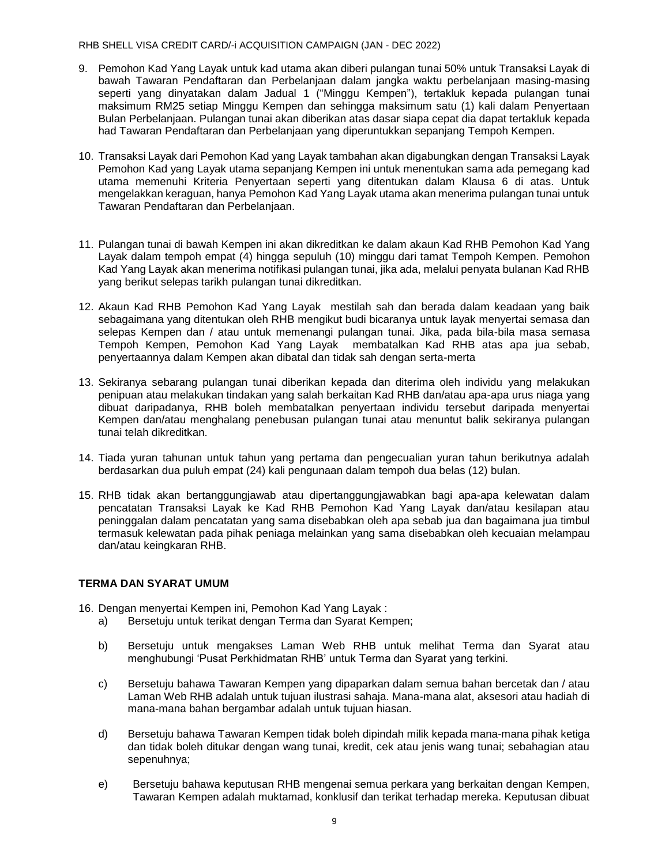#### RHB SHELL VISA CREDIT CARD/-i ACQUISITION CAMPAIGN (JAN - DEC 2022)

- 9. Pemohon Kad Yang Layak untuk kad utama akan diberi pulangan tunai 50% untuk Transaksi Layak di bawah Tawaran Pendaftaran dan Perbelanjaan dalam jangka waktu perbelanjaan masing-masing seperti yang dinyatakan dalam Jadual 1 ("Minggu Kempen"), tertakluk kepada pulangan tunai maksimum RM25 setiap Minggu Kempen dan sehingga maksimum satu (1) kali dalam Penyertaan Bulan Perbelanjaan. Pulangan tunai akan diberikan atas dasar siapa cepat dia dapat tertakluk kepada had Tawaran Pendaftaran dan Perbelanjaan yang diperuntukkan sepanjang Tempoh Kempen.
- 10. Transaksi Layak dari Pemohon Kad yang Layak tambahan akan digabungkan dengan Transaksi Layak Pemohon Kad yang Layak utama sepanjang Kempen ini untuk menentukan sama ada pemegang kad utama memenuhi Kriteria Penyertaan seperti yang ditentukan dalam Klausa 6 di atas. Untuk mengelakkan keraguan, hanya Pemohon Kad Yang Layak utama akan menerima pulangan tunai untuk Tawaran Pendaftaran dan Perbelanjaan.
- 11. Pulangan tunai di bawah Kempen ini akan dikreditkan ke dalam akaun Kad RHB Pemohon Kad Yang Layak dalam tempoh empat (4) hingga sepuluh (10) minggu dari tamat Tempoh Kempen. Pemohon Kad Yang Layak akan menerima notifikasi pulangan tunai, jika ada, melalui penyata bulanan Kad RHB yang berikut selepas tarikh pulangan tunai dikreditkan.
- 12. Akaun Kad RHB Pemohon Kad Yang Layak mestilah sah dan berada dalam keadaan yang baik sebagaimana yang ditentukan oleh RHB mengikut budi bicaranya untuk layak menyertai semasa dan selepas Kempen dan / atau untuk memenangi pulangan tunai. Jika, pada bila-bila masa semasa Tempoh Kempen, Pemohon Kad Yang Layak membatalkan Kad RHB atas apa jua sebab, penyertaannya dalam Kempen akan dibatal dan tidak sah dengan serta-merta
- 13. Sekiranya sebarang pulangan tunai diberikan kepada dan diterima oleh individu yang melakukan penipuan atau melakukan tindakan yang salah berkaitan Kad RHB dan/atau apa-apa urus niaga yang dibuat daripadanya, RHB boleh membatalkan penyertaan individu tersebut daripada menyertai Kempen dan/atau menghalang penebusan pulangan tunai atau menuntut balik sekiranya pulangan tunai telah dikreditkan.
- 14. Tiada yuran tahunan untuk tahun yang pertama dan pengecualian yuran tahun berikutnya adalah berdasarkan dua puluh empat (24) kali pengunaan dalam tempoh dua belas (12) bulan.
- 15. RHB tidak akan bertanggungjawab atau dipertanggungjawabkan bagi apa-apa kelewatan dalam pencatatan Transaksi Layak ke Kad RHB Pemohon Kad Yang Layak dan/atau kesilapan atau peninggalan dalam pencatatan yang sama disebabkan oleh apa sebab jua dan bagaimana jua timbul termasuk kelewatan pada pihak peniaga melainkan yang sama disebabkan oleh kecuaian melampau dan/atau keingkaran RHB.

### **TERMA DAN SYARAT UMUM**

16. Dengan menyertai Kempen ini, Pemohon Kad Yang Layak :

- a) Bersetuju untuk terikat dengan Terma dan Syarat Kempen;
- b) Bersetuju untuk mengakses Laman Web RHB untuk melihat Terma dan Syarat atau menghubungi 'Pusat Perkhidmatan RHB' untuk Terma dan Syarat yang terkini.
- c) Bersetuju bahawa Tawaran Kempen yang dipaparkan dalam semua bahan bercetak dan / atau Laman Web RHB adalah untuk tujuan ilustrasi sahaja. Mana-mana alat, aksesori atau hadiah di mana-mana bahan bergambar adalah untuk tujuan hiasan.
- d) Bersetuju bahawa Tawaran Kempen tidak boleh dipindah milik kepada mana-mana pihak ketiga dan tidak boleh ditukar dengan wang tunai, kredit, cek atau jenis wang tunai; sebahagian atau sepenuhnya;
- e) Bersetuju bahawa keputusan RHB mengenai semua perkara yang berkaitan dengan Kempen, Tawaran Kempen adalah muktamad, konklusif dan terikat terhadap mereka. Keputusan dibuat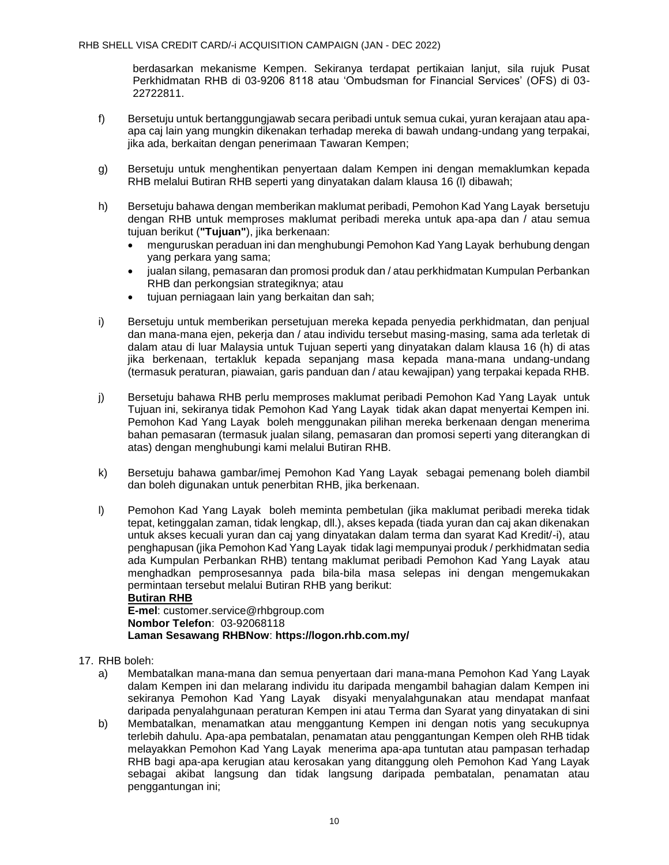berdasarkan mekanisme Kempen. Sekiranya terdapat pertikaian lanjut, sila rujuk Pusat Perkhidmatan RHB di 03-9206 8118 atau 'Ombudsman for Financial Services' (OFS) di 03- 22722811.

- f) Bersetuju untuk bertanggungjawab secara peribadi untuk semua cukai, yuran kerajaan atau apaapa caj lain yang mungkin dikenakan terhadap mereka di bawah undang-undang yang terpakai, jika ada, berkaitan dengan penerimaan Tawaran Kempen;
- g) Bersetuju untuk menghentikan penyertaan dalam Kempen ini dengan memaklumkan kepada RHB melalui Butiran RHB seperti yang dinyatakan dalam klausa 16 (l) dibawah;
- h) Bersetuju bahawa dengan memberikan maklumat peribadi, Pemohon Kad Yang Layak bersetuju dengan RHB untuk memproses maklumat peribadi mereka untuk apa-apa dan / atau semua tujuan berikut (**"Tujuan"**), jika berkenaan:
	- menguruskan peraduan ini dan menghubungi Pemohon Kad Yang Layak berhubung dengan yang perkara yang sama;
	- jualan silang, pemasaran dan promosi produk dan / atau perkhidmatan Kumpulan Perbankan RHB dan perkongsian strategiknya; atau
	- tujuan perniagaan lain yang berkaitan dan sah;
- i) Bersetuju untuk memberikan persetujuan mereka kepada penyedia perkhidmatan, dan penjual dan mana-mana ejen, pekerja dan / atau individu tersebut masing-masing, sama ada terletak di dalam atau di luar Malaysia untuk Tujuan seperti yang dinyatakan dalam klausa 16 (h) di atas jika berkenaan, tertakluk kepada sepanjang masa kepada mana-mana undang-undang (termasuk peraturan, piawaian, garis panduan dan / atau kewajipan) yang terpakai kepada RHB.
- j) Bersetuju bahawa RHB perlu memproses maklumat peribadi Pemohon Kad Yang Layak untuk Tujuan ini, sekiranya tidak Pemohon Kad Yang Layak tidak akan dapat menyertai Kempen ini. Pemohon Kad Yang Layak boleh menggunakan pilihan mereka berkenaan dengan menerima bahan pemasaran (termasuk jualan silang, pemasaran dan promosi seperti yang diterangkan di atas) dengan menghubungi kami melalui Butiran RHB.
- k) Bersetuju bahawa gambar/imej Pemohon Kad Yang Layak sebagai pemenang boleh diambil dan boleh digunakan untuk penerbitan RHB, jika berkenaan.
- l) Pemohon Kad Yang Layak boleh meminta pembetulan (jika maklumat peribadi mereka tidak tepat, ketinggalan zaman, tidak lengkap, dll.), akses kepada (tiada yuran dan caj akan dikenakan untuk akses kecuali yuran dan caj yang dinyatakan dalam terma dan syarat Kad Kredit/-i), atau penghapusan (jika Pemohon Kad Yang Layak tidak lagi mempunyai produk / perkhidmatan sedia ada Kumpulan Perbankan RHB) tentang maklumat peribadi Pemohon Kad Yang Layak atau menghadkan pemprosesannya pada bila-bila masa selepas ini dengan mengemukakan permintaan tersebut melalui Butiran RHB yang berikut:

**Butiran RHB E-mel**: customer.service@rhbgroup.com **Nombor Telefon**: 03-92068118 **Laman Sesawang RHBNow**: **<https://logon.rhb.com.my/>**

- 17. RHB boleh:
	- a) Membatalkan mana-mana dan semua penyertaan dari mana-mana Pemohon Kad Yang Layak dalam Kempen ini dan melarang individu itu daripada mengambil bahagian dalam Kempen ini sekiranya Pemohon Kad Yang Layak disyaki menyalahgunakan atau mendapat manfaat daripada penyalahgunaan peraturan Kempen ini atau Terma dan Syarat yang dinyatakan di sini
	- b) Membatalkan, menamatkan atau menggantung Kempen ini dengan notis yang secukupnya terlebih dahulu. Apa-apa pembatalan, penamatan atau penggantungan Kempen oleh RHB tidak melayakkan Pemohon Kad Yang Layak menerima apa-apa tuntutan atau pampasan terhadap RHB bagi apa-apa kerugian atau kerosakan yang ditanggung oleh Pemohon Kad Yang Layak sebagai akibat langsung dan tidak langsung daripada pembatalan, penamatan atau penggantungan ini;